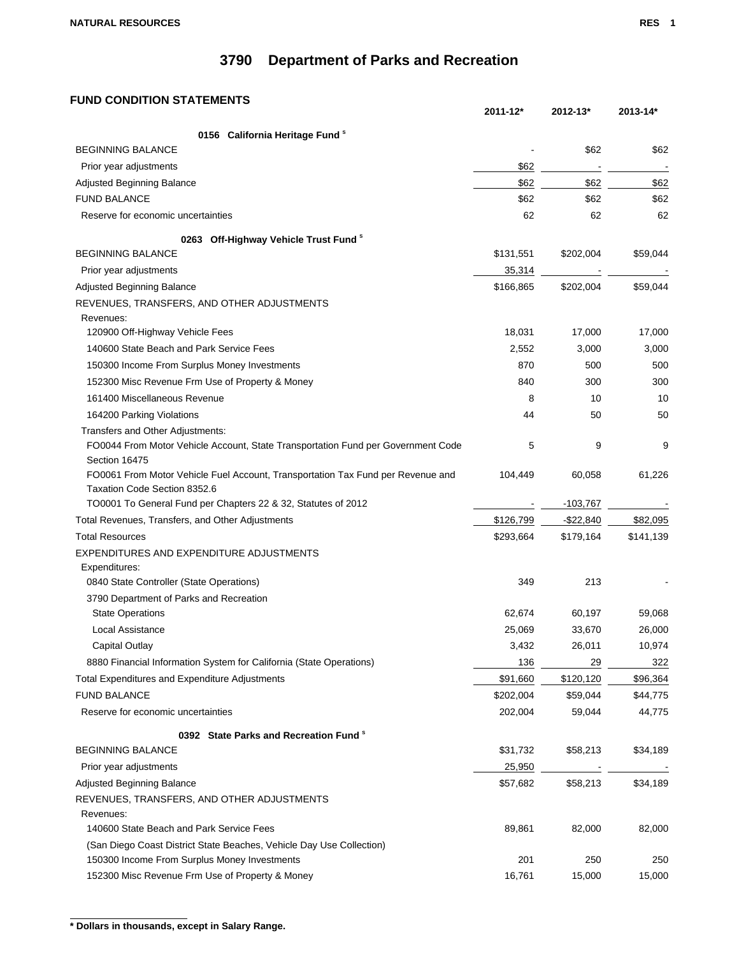### **FUND CONDITION STATEMENTS**

|                                                                                  | 2011-12*  | 2012-13*     | 2013-14*  |
|----------------------------------------------------------------------------------|-----------|--------------|-----------|
| 0156 California Heritage Fund <sup>\$</sup>                                      |           |              |           |
| <b>BEGINNING BALANCE</b>                                                         |           | \$62         | \$62      |
| Prior year adjustments                                                           | \$62      |              |           |
| <b>Adjusted Beginning Balance</b>                                                | \$62      | \$62         | \$62      |
| <b>FUND BALANCE</b>                                                              | \$62      | \$62         | \$62      |
| Reserve for economic uncertainties                                               | 62        | 62           | 62        |
| 0263 Off-Highway Vehicle Trust Fund <sup>8</sup>                                 |           |              |           |
| <b>BEGINNING BALANCE</b>                                                         | \$131,551 | \$202,004    | \$59,044  |
| Prior year adjustments                                                           | 35,314    |              |           |
| Adjusted Beginning Balance                                                       | \$166,865 | \$202,004    | \$59,044  |
| REVENUES, TRANSFERS, AND OTHER ADJUSTMENTS                                       |           |              |           |
| Revenues:                                                                        |           |              |           |
| 120900 Off-Highway Vehicle Fees                                                  | 18,031    | 17,000       | 17,000    |
| 140600 State Beach and Park Service Fees                                         | 2,552     | 3,000        | 3,000     |
| 150300 Income From Surplus Money Investments                                     | 870       | 500          | 500       |
| 152300 Misc Revenue Frm Use of Property & Money                                  | 840       | 300          | 300       |
| 161400 Miscellaneous Revenue                                                     | 8         | 10           | 10        |
| 164200 Parking Violations                                                        | 44        | 50           | 50        |
| Transfers and Other Adjustments:                                                 |           |              |           |
| FO0044 From Motor Vehicle Account, State Transportation Fund per Government Code | 5         | 9            | 9         |
| Section 16475                                                                    |           |              |           |
| FO0061 From Motor Vehicle Fuel Account, Transportation Tax Fund per Revenue and  | 104,449   | 60,058       | 61,226    |
| Taxation Code Section 8352.6                                                     |           |              |           |
| TO0001 To General Fund per Chapters 22 & 32, Statutes of 2012                    |           | $-103,767$   |           |
| Total Revenues, Transfers, and Other Adjustments                                 | \$126,799 | $-$ \$22,840 | \$82,095  |
| <b>Total Resources</b>                                                           | \$293,664 | \$179,164    | \$141,139 |
| EXPENDITURES AND EXPENDITURE ADJUSTMENTS                                         |           |              |           |
| Expenditures:                                                                    |           |              |           |
| 0840 State Controller (State Operations)                                         | 349       | 213          |           |
| 3790 Department of Parks and Recreation                                          |           |              |           |
| <b>State Operations</b>                                                          | 62,674    | 60,197       | 59,068    |
| Local Assistance                                                                 | 25,069    | 33,670       | 26,000    |
| Capital Outlay                                                                   | 3,432     | 26,011       | 10,974    |
| 8880 Financial Information System for California (State Operations)              | 136       | 29           | 322       |
| <b>Total Expenditures and Expenditure Adjustments</b>                            | \$91,660  | \$120,120    | \$96,364  |
| <b>FUND BALANCE</b>                                                              | \$202,004 | \$59,044     | \$44,775  |
| Reserve for economic uncertainties                                               | 202,004   | 59,044       | 44,775    |
| 0392 State Parks and Recreation Fund <sup>s</sup>                                |           |              |           |
| <b>BEGINNING BALANCE</b>                                                         | \$31,732  | \$58,213     | \$34,189  |
| Prior year adjustments                                                           | 25,950    |              |           |
| Adjusted Beginning Balance                                                       | \$57,682  | \$58,213     | \$34,189  |
| REVENUES, TRANSFERS, AND OTHER ADJUSTMENTS                                       |           |              |           |
| Revenues:                                                                        |           |              |           |
| 140600 State Beach and Park Service Fees                                         | 89,861    | 82,000       | 82,000    |
| (San Diego Coast District State Beaches, Vehicle Day Use Collection)             |           |              |           |
| 150300 Income From Surplus Money Investments                                     | 201       | 250          | 250       |
| 152300 Misc Revenue Frm Use of Property & Money                                  | 16,761    | 15,000       | 15,000    |

**<sup>\*</sup> Dollars in thousands, except in Salary Range.**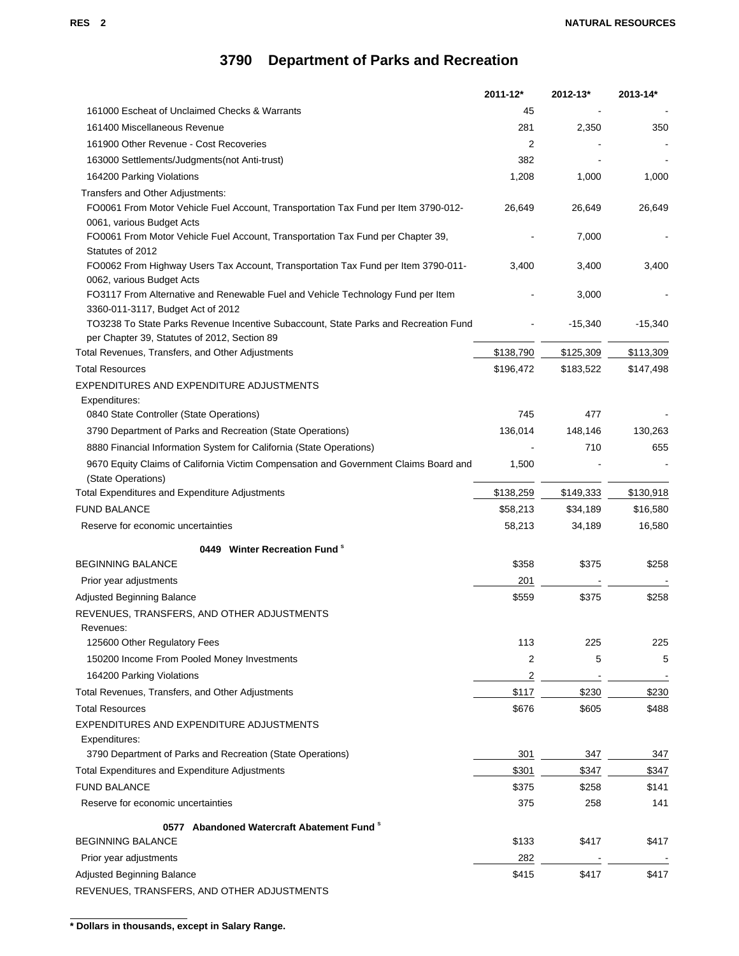|                                                                                                                          | 2011-12*       | 2012-13*  | 2013-14*  |
|--------------------------------------------------------------------------------------------------------------------------|----------------|-----------|-----------|
| 161000 Escheat of Unclaimed Checks & Warrants                                                                            | 45             |           |           |
| 161400 Miscellaneous Revenue                                                                                             | 281            | 2,350     | 350       |
| 161900 Other Revenue - Cost Recoveries                                                                                   | 2              |           |           |
| 163000 Settlements/Judgments(not Anti-trust)                                                                             | 382            |           |           |
| 164200 Parking Violations                                                                                                | 1,208          | 1,000     | 1,000     |
| Transfers and Other Adjustments:                                                                                         |                |           |           |
| FO0061 From Motor Vehicle Fuel Account, Transportation Tax Fund per Item 3790-012-                                       | 26,649         | 26,649    | 26,649    |
| 0061, various Budget Acts                                                                                                |                |           |           |
| FO0061 From Motor Vehicle Fuel Account, Transportation Tax Fund per Chapter 39,                                          |                | 7,000     |           |
| Statutes of 2012                                                                                                         |                |           |           |
| FO0062 From Highway Users Tax Account, Transportation Tax Fund per Item 3790-011-                                        | 3,400          | 3,400     | 3,400     |
| 0062, various Budget Acts                                                                                                |                |           |           |
| FO3117 From Alternative and Renewable Fuel and Vehicle Technology Fund per Item                                          |                | 3,000     |           |
| 3360-011-3117, Budget Act of 2012<br>TO3238 To State Parks Revenue Incentive Subaccount, State Parks and Recreation Fund |                | $-15,340$ | $-15,340$ |
| per Chapter 39, Statutes of 2012, Section 89                                                                             |                |           |           |
| Total Revenues, Transfers, and Other Adjustments                                                                         | \$138,790      | \$125,309 | \$113,309 |
| <b>Total Resources</b>                                                                                                   | \$196,472      | \$183,522 | \$147,498 |
| EXPENDITURES AND EXPENDITURE ADJUSTMENTS                                                                                 |                |           |           |
| Expenditures:                                                                                                            |                |           |           |
| 0840 State Controller (State Operations)                                                                                 | 745            | 477       |           |
| 3790 Department of Parks and Recreation (State Operations)                                                               | 136,014        | 148,146   | 130,263   |
| 8880 Financial Information System for California (State Operations)                                                      |                | 710       | 655       |
| 9670 Equity Claims of California Victim Compensation and Government Claims Board and                                     | 1,500          |           |           |
| (State Operations)                                                                                                       |                |           |           |
| <b>Total Expenditures and Expenditure Adjustments</b>                                                                    | \$138,259      | \$149,333 | \$130,918 |
| <b>FUND BALANCE</b>                                                                                                      | \$58,213       | \$34,189  | \$16,580  |
| Reserve for economic uncertainties                                                                                       | 58,213         | 34,189    | 16,580    |
|                                                                                                                          |                |           |           |
| 0449 Winter Recreation Fund <sup>s</sup>                                                                                 |                |           |           |
| <b>BEGINNING BALANCE</b>                                                                                                 | \$358          | \$375     | \$258     |
| Prior year adjustments                                                                                                   | 201            |           |           |
| Adjusted Beginning Balance                                                                                               | \$559          | \$375     | \$258     |
| REVENUES, TRANSFERS, AND OTHER ADJUSTMENTS                                                                               |                |           |           |
| Revenues:                                                                                                                |                |           |           |
| 125600 Other Regulatory Fees                                                                                             | 113            | 225       | 225       |
| 150200 Income From Pooled Money Investments                                                                              | 2              | 5         | 5         |
| 164200 Parking Violations                                                                                                | $\overline{2}$ |           |           |
| Total Revenues, Transfers, and Other Adjustments                                                                         | \$117          | \$230     | \$230     |
| <b>Total Resources</b>                                                                                                   | \$676          | \$605     | \$488     |
| EXPENDITURES AND EXPENDITURE ADJUSTMENTS                                                                                 |                |           |           |
| Expenditures:                                                                                                            |                |           |           |
| 3790 Department of Parks and Recreation (State Operations)                                                               | 301            | 347       | 347       |
| <b>Total Expenditures and Expenditure Adjustments</b>                                                                    | \$301          | \$347     | \$347     |
| <b>FUND BALANCE</b>                                                                                                      | \$375          | \$258     | \$141     |
| Reserve for economic uncertainties                                                                                       | 375            | 258       | 141       |
| 0577 Abandoned Watercraft Abatement Fund $\degree$                                                                       |                |           |           |
| <b>BEGINNING BALANCE</b>                                                                                                 | \$133          | \$417     | \$417     |
| Prior year adjustments                                                                                                   | 282            |           |           |
| Adjusted Beginning Balance                                                                                               | \$415          | \$417     | \$417     |
| REVENUES, TRANSFERS, AND OTHER ADJUSTMENTS                                                                               |                |           |           |

**\* Dollars in thousands, except in Salary Range.**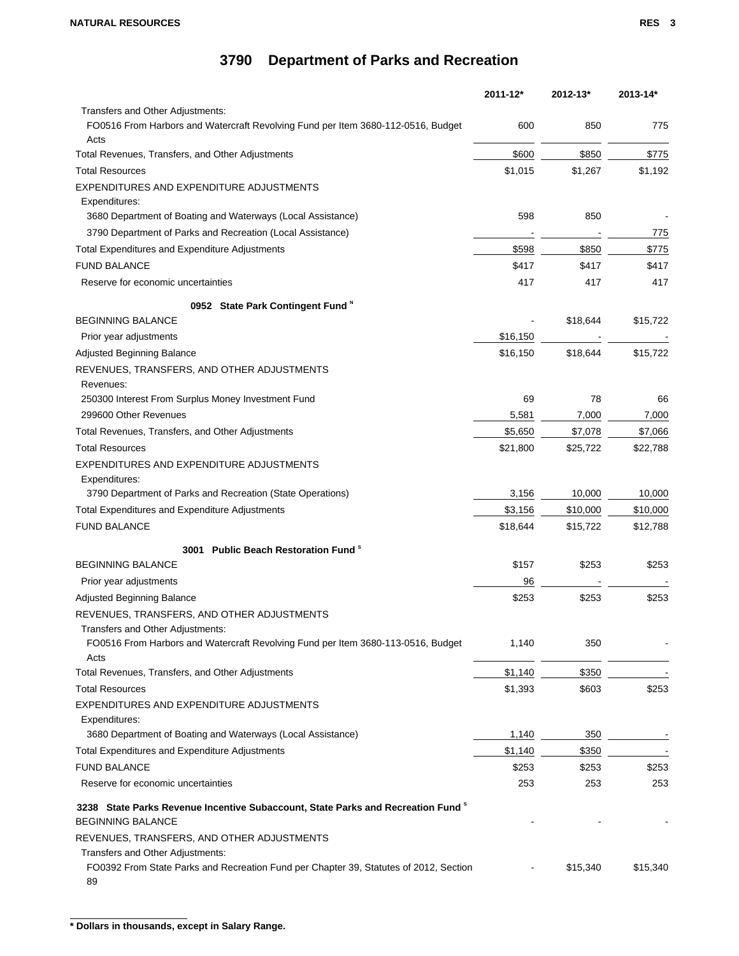|                                                                                             | 2011-12* | 2012-13* | 2013-14* |
|---------------------------------------------------------------------------------------------|----------|----------|----------|
| Transfers and Other Adjustments:                                                            |          |          |          |
| FO0516 From Harbors and Watercraft Revolving Fund per Item 3680-112-0516, Budget            | 600      | 850      | 775      |
| Acts                                                                                        |          |          |          |
| Total Revenues, Transfers, and Other Adjustments                                            | \$600    | \$850    | \$775    |
| <b>Total Resources</b>                                                                      | \$1,015  | \$1,267  | \$1,192  |
| EXPENDITURES AND EXPENDITURE ADJUSTMENTS                                                    |          |          |          |
| Expenditures:<br>3680 Department of Boating and Waterways (Local Assistance)                | 598      | 850      |          |
|                                                                                             |          |          |          |
| 3790 Department of Parks and Recreation (Local Assistance)                                  |          |          | 775      |
| Total Expenditures and Expenditure Adjustments                                              | \$598    | \$850    | \$775    |
| <b>FUND BALANCE</b>                                                                         | \$417    | \$417    | \$417    |
| Reserve for economic uncertainties                                                          | 417      | 417      | 417      |
| 0952 State Park Contingent Fund M                                                           |          |          |          |
| <b>BEGINNING BALANCE</b>                                                                    |          | \$18,644 | \$15,722 |
| Prior year adjustments                                                                      | \$16,150 |          |          |
| Adjusted Beginning Balance                                                                  | \$16,150 | \$18.644 | \$15,722 |
| REVENUES, TRANSFERS, AND OTHER ADJUSTMENTS                                                  |          |          |          |
| Revenues:                                                                                   |          |          |          |
| 250300 Interest From Surplus Money Investment Fund                                          | 69       | 78       | 66       |
| 299600 Other Revenues                                                                       | 5,581    | 7,000    | 7,000    |
| Total Revenues, Transfers, and Other Adjustments                                            | \$5,650  | \$7,078  | \$7,066  |
| <b>Total Resources</b>                                                                      | \$21,800 | \$25,722 | \$22,788 |
| EXPENDITURES AND EXPENDITURE ADJUSTMENTS                                                    |          |          |          |
| Expenditures:                                                                               |          |          |          |
| 3790 Department of Parks and Recreation (State Operations)                                  | 3,156    | 10,000   | 10,000   |
| Total Expenditures and Expenditure Adjustments                                              | \$3,156  | \$10,000 | \$10,000 |
| <b>FUND BALANCE</b>                                                                         | \$18,644 | \$15,722 | \$12,788 |
|                                                                                             |          |          |          |
| 3001 Public Beach Restoration Fund <sup>s</sup>                                             |          |          |          |
| <b>BEGINNING BALANCE</b>                                                                    | \$157    | \$253    | \$253    |
| Prior year adjustments                                                                      | 96       |          |          |
| Adjusted Beginning Balance                                                                  | \$253    | \$253    | \$253    |
| REVENUES, TRANSFERS, AND OTHER ADJUSTMENTS                                                  |          |          |          |
| Transfers and Other Adjustments:                                                            |          |          |          |
| FO0516 From Harbors and Watercraft Revolving Fund per Item 3680-113-0516, Budget<br>Acts    | 1,140    | 350      |          |
| Total Revenues, Transfers, and Other Adjustments                                            | \$1,140  | \$350    |          |
| <b>Total Resources</b>                                                                      | \$1,393  | \$603    | \$253    |
| EXPENDITURES AND EXPENDITURE ADJUSTMENTS                                                    |          |          |          |
| Expenditures:                                                                               |          |          |          |
| 3680 Department of Boating and Waterways (Local Assistance)                                 | 1,140    | 350      |          |
| <b>Total Expenditures and Expenditure Adjustments</b>                                       | \$1,140  | \$350    |          |
| <b>FUND BALANCE</b>                                                                         | \$253    | \$253    | \$253    |
| Reserve for economic uncertainties                                                          | 253      | 253      | 253      |
| 3238 State Parks Revenue Incentive Subaccount, State Parks and Recreation Fund <sup>s</sup> |          |          |          |
| <b>BEGINNING BALANCE</b>                                                                    |          |          |          |
| REVENUES, TRANSFERS, AND OTHER ADJUSTMENTS                                                  |          |          |          |
| Transfers and Other Adjustments:                                                            |          |          |          |
| FO0392 From State Parks and Recreation Fund per Chapter 39, Statutes of 2012, Section       |          | \$15,340 | \$15,340 |
| 89                                                                                          |          |          |          |